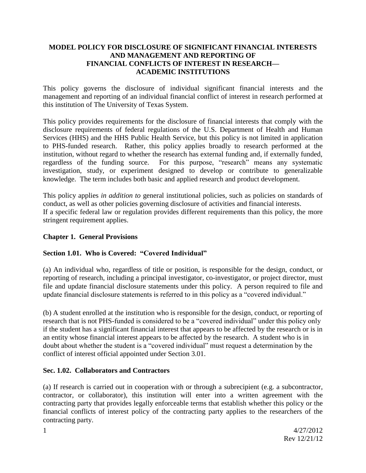### **MODEL POLICY FOR DISCLOSURE OF SIGNIFICANT FINANCIAL INTERESTS AND MANAGEMENT AND REPORTING OF FINANCIAL CONFLICTS OF INTEREST IN RESEARCH— ACADEMIC INSTITUTIONS**

This policy governs the disclosure of individual significant financial interests and the management and reporting of an individual financial conflict of interest in research performed at this institution of The University of Texas System.

This policy provides requirements for the disclosure of financial interests that comply with the disclosure requirements of federal regulations of the U.S. Department of Health and Human Services (HHS) and the HHS Public Health Service, but this policy is not limited in application to PHS-funded research. Rather, this policy applies broadly to research performed at the institution, without regard to whether the research has external funding and, if externally funded, regardless of the funding source. For this purpose, "research" means any systematic investigation, study, or experiment designed to develop or contribute to generalizable knowledge. The term includes both basic and applied research and product development.

This policy applies *in addition to* general institutional policies, such as policies on standards of conduct, as well as other policies governing disclosure of activities and financial interests. If a specific federal law or regulation provides different requirements than this policy, the more stringent requirement applies.

## **Chapter 1. General Provisions**

## **Section 1.01. Who is Covered: "Covered Individual"**

(a) An individual who, regardless of title or position, is responsible for the design, conduct, or reporting of research, including a principal investigator, co-investigator, or project director, must file and update financial disclosure statements under this policy. A person required to file and update financial disclosure statements is referred to in this policy as a "covered individual."

(b) A student enrolled at the institution who is responsible for the design, conduct, or reporting of research that is not PHS-funded is considered to be a "covered individual" under this policy only if the student has a significant financial interest that appears to be affected by the research or is in an entity whose financial interest appears to be affected by the research. A student who is in doubt about whether the student is a "covered individual" must request a determination by the conflict of interest official appointed under Section 3.01.

## **Sec. 1.02. Collaborators and Contractors**

(a) If research is carried out in cooperation with or through a subrecipient (e.g. a subcontractor, contractor, or collaborator), this institution will enter into a written agreement with the contracting party that provides legally enforceable terms that establish whether this policy or the financial conflicts of interest policy of the contracting party applies to the researchers of the contracting party.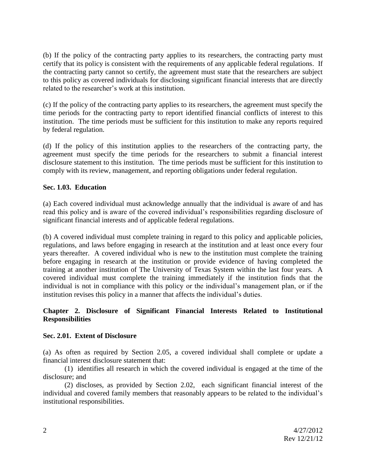(b) If the policy of the contracting party applies to its researchers, the contracting party must certify that its policy is consistent with the requirements of any applicable federal regulations. If the contracting party cannot so certify, the agreement must state that the researchers are subject to this policy as covered individuals for disclosing significant financial interests that are directly related to the researcher's work at this institution.

(c) If the policy of the contracting party applies to its researchers, the agreement must specify the time periods for the contracting party to report identified financial conflicts of interest to this institution. The time periods must be sufficient for this institution to make any reports required by federal regulation.

(d) If the policy of this institution applies to the researchers of the contracting party, the agreement must specify the time periods for the researchers to submit a financial interest disclosure statement to this institution. The time periods must be sufficient for this institution to comply with its review, management, and reporting obligations under federal regulation.

## **Sec. 1.03. Education**

(a) Each covered individual must acknowledge annually that the individual is aware of and has read this policy and is aware of the covered individual's responsibilities regarding disclosure of significant financial interests and of applicable federal regulations.

(b) A covered individual must complete training in regard to this policy and applicable policies, regulations, and laws before engaging in research at the institution and at least once every four years thereafter. A covered individual who is new to the institution must complete the training before engaging in research at the institution or provide evidence of having completed the training at another institution of The University of Texas System within the last four years. A covered individual must complete the training immediately if the institution finds that the individual is not in compliance with this policy or the individual's management plan, or if the institution revises this policy in a manner that affects the individual's duties.

### **Chapter 2. Disclosure of Significant Financial Interests Related to Institutional Responsibilities**

#### **Sec. 2.01. Extent of Disclosure**

(a) As often as required by Section 2.05, a covered individual shall complete or update a financial interest disclosure statement that:

(1) identifies all research in which the covered individual is engaged at the time of the disclosure; and

(2) discloses, as provided by Section 2.02, each significant financial interest of the individual and covered family members that reasonably appears to be related to the individual's institutional responsibilities.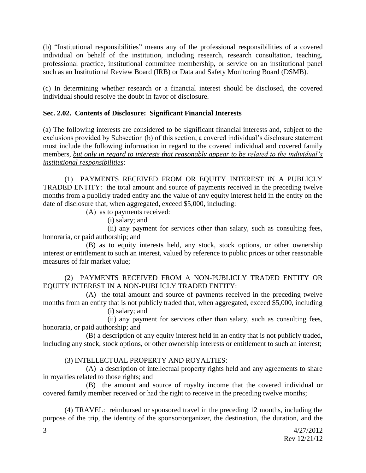(b) "Institutional responsibilities" means any of the professional responsibilities of a covered individual on behalf of the institution, including research, research consultation, teaching, professional practice, institutional committee membership, or service on an institutional panel such as an Institutional Review Board (IRB) or Data and Safety Monitoring Board (DSMB).

(c) In determining whether research or a financial interest should be disclosed, the covered individual should resolve the doubt in favor of disclosure.

## **Sec. 2.02. Contents of Disclosure: Significant Financial Interests**

(a) The following interests are considered to be significant financial interests and, subject to the exclusions provided by Subsection (b) of this section, a covered individual's disclosure statement must include the following information in regard to the covered individual and covered family members, *but only in regard to interests that reasonably appear to be related to the individual's institutional responsibilities*:

(1) PAYMENTS RECEIVED FROM OR EQUITY INTEREST IN A PUBLICLY TRADED ENTITY: the total amount and source of payments received in the preceding twelve months from a publicly traded entity and the value of any equity interest held in the entity on the date of disclosure that, when aggregated, exceed \$5,000, including:

(A) as to payments received:

(i) salary; and

(ii) any payment for services other than salary, such as consulting fees, honoraria, or paid authorship; and

(B) as to equity interests held, any stock, stock options, or other ownership interest or entitlement to such an interest, valued by reference to public prices or other reasonable measures of fair market value;

## (2) PAYMENTS RECEIVED FROM A NON-PUBLICLY TRADED ENTITY OR EQUITY INTEREST IN A NON-PUBLICLY TRADED ENTITY:

(A) the total amount and source of payments received in the preceding twelve months from an entity that is not publicly traded that, when aggregated, exceed \$5,000, including

(i) salary; and

(ii) any payment for services other than salary, such as consulting fees, honoraria, or paid authorship; and

(B) a description of any equity interest held in an entity that is not publicly traded, including any stock, stock options, or other ownership interests or entitlement to such an interest;

# (3) INTELLECTUAL PROPERTY AND ROYALTIES:

(A) a description of intellectual property rights held and any agreements to share in royalties related to those rights; and

(B) the amount and source of royalty income that the covered individual or covered family member received or had the right to receive in the preceding twelve months;

(4) TRAVEL: reimbursed or sponsored travel in the preceding 12 months, including the purpose of the trip, the identity of the sponsor/organizer, the destination, the duration, and the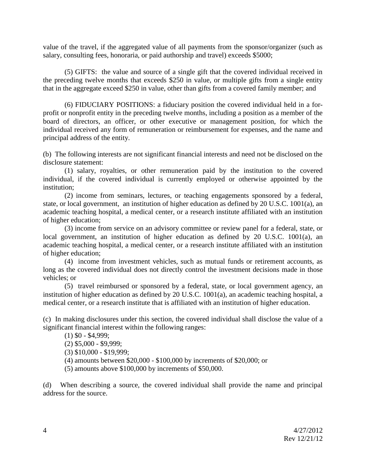value of the travel, if the aggregated value of all payments from the sponsor/organizer (such as salary, consulting fees, honoraria, or paid authorship and travel) exceeds \$5000;

(5) GIFTS: the value and source of a single gift that the covered individual received in the preceding twelve months that exceeds \$250 in value, or multiple gifts from a single entity that in the aggregate exceed \$250 in value, other than gifts from a covered family member; and

(6) FIDUCIARY POSITIONS: a fiduciary position the covered individual held in a forprofit or nonprofit entity in the preceding twelve months, including a position as a member of the board of directors, an officer, or other executive or management position, for which the individual received any form of remuneration or reimbursement for expenses, and the name and principal address of the entity.

(b) The following interests are not significant financial interests and need not be disclosed on the disclosure statement:

(1) salary, royalties, or other remuneration paid by the institution to the covered individual, if the covered individual is currently employed or otherwise appointed by the institution;

(2) income from seminars, lectures, or teaching engagements sponsored by a federal, state, or local government, an institution of higher education as defined by 20 U.S.C. 1001(a), an academic teaching hospital, a medical center, or a research institute affiliated with an institution of higher education;

(3) income from service on an advisory committee or review panel for a federal, state, or local government, an institution of higher education as defined by 20 U.S.C. 1001(a), an academic teaching hospital, a medical center, or a research institute affiliated with an institution of higher education;

(4) income from investment vehicles, such as mutual funds or retirement accounts, as long as the covered individual does not directly control the investment decisions made in those vehicles; or

(5) travel reimbursed or sponsored by a federal, state, or local government agency, an institution of higher education as defined by 20 U.S.C. 1001(a), an academic teaching hospital, a medical center, or a research institute that is affiliated with an institution of higher education.

(c) In making disclosures under this section, the covered individual shall disclose the value of a significant financial interest within the following ranges:

(1) \$0 - \$4,999;

(2) \$5,000 - \$9,999;

(3) \$10,000 - \$19,999;

(4) amounts between \$20,000 - \$100,000 by increments of \$20,000; or

(5) amounts above \$100,000 by increments of \$50,000.

(d) When describing a source, the covered individual shall provide the name and principal address for the source.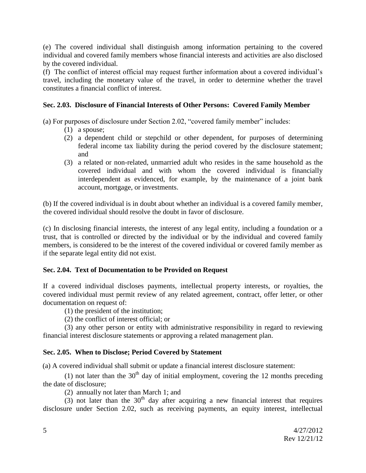(e) The covered individual shall distinguish among information pertaining to the covered individual and covered family members whose financial interests and activities are also disclosed by the covered individual.

(f) The conflict of interest official may request further information about a covered individual's travel, including the monetary value of the travel, in order to determine whether the travel constitutes a financial conflict of interest.

## **Sec. 2.03. Disclosure of Financial Interests of Other Persons: Covered Family Member**

(a) For purposes of disclosure under Section 2.02, "covered family member" includes:

- (1) a spouse;
- (2) a dependent child or stepchild or other dependent, for purposes of determining federal income tax liability during the period covered by the disclosure statement; and
- (3) a related or non-related, unmarried adult who resides in the same household as the covered individual and with whom the covered individual is financially interdependent as evidenced, for example, by the maintenance of a joint bank account, mortgage, or investments.

(b) If the covered individual is in doubt about whether an individual is a covered family member, the covered individual should resolve the doubt in favor of disclosure.

(c) In disclosing financial interests, the interest of any legal entity, including a foundation or a trust, that is controlled or directed by the individual or by the individual and covered family members, is considered to be the interest of the covered individual or covered family member as if the separate legal entity did not exist.

# **Sec. 2.04. Text of Documentation to be Provided on Request**

If a covered individual discloses payments, intellectual property interests, or royalties, the covered individual must permit review of any related agreement, contract, offer letter, or other documentation on request of:

- (1) the president of the institution;
- (2) the conflict of interest official; or

(3) any other person or entity with administrative responsibility in regard to reviewing financial interest disclosure statements or approving a related management plan.

## **Sec. 2.05. When to Disclose; Period Covered by Statement**

(a) A covered individual shall submit or update a financial interest disclosure statement:

(1) not later than the  $30<sup>th</sup>$  day of initial employment, covering the 12 months preceding the date of disclosure;

(2) annually not later than March 1; and

 $(3)$  not later than the 30<sup>th</sup> day after acquiring a new financial interest that requires disclosure under Section 2.02, such as receiving payments, an equity interest, intellectual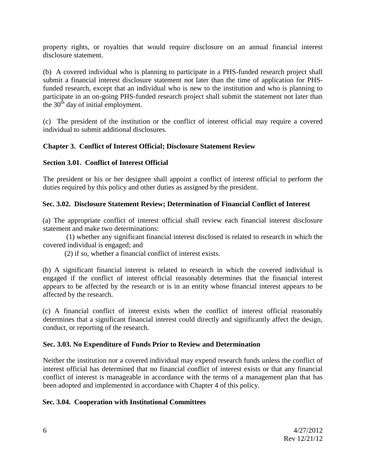property rights, or royalties that would require disclosure on an annual financial interest disclosure statement.

(b) A covered individual who is planning to participate in a PHS-funded research project shall submit a financial interest disclosure statement not later than the time of application for PHSfunded research, except that an individual who is new to the institution and who is planning to participate in an on-going PHS-funded research project shall submit the statement not later than the  $30<sup>th</sup>$  day of initial employment.

(c) The president of the institution or the conflict of interest official may require a covered individual to submit additional disclosures.

## **Chapter 3. Conflict of Interest Official; Disclosure Statement Review**

## **Section 3.01. Conflict of Interest Official**

The president or his or her designee shall appoint a conflict of interest official to perform the duties required by this policy and other duties as assigned by the president.

## **Sec. 3.02. Disclosure Statement Review; Determination of Financial Conflict of Interest**

(a) The appropriate conflict of interest official shall review each financial interest disclosure statement and make two determinations:

(1) whether any significant financial interest disclosed is related to research in which the covered individual is engaged; and

(2) if so, whether a financial conflict of interest exists.

(b) A significant financial interest is related to research in which the covered individual is engaged if the conflict of interest official reasonably determines that the financial interest appears to be affected by the research or is in an entity whose financial interest appears to be affected by the research.

(c) A financial conflict of interest exists when the conflict of interest official reasonably determines that a significant financial interest could directly and significantly affect the design, conduct, or reporting of the research.

#### **Sec. 3.03. No Expenditure of Funds Prior to Review and Determination**

Neither the institution nor a covered individual may expend research funds unless the conflict of interest official has determined that no financial conflict of interest exists or that any financial conflict of interest is manageable in accordance with the terms of a management plan that has been adopted and implemented in accordance with Chapter 4 of this policy.

## **Sec. 3.04. Cooperation with Institutional Committees**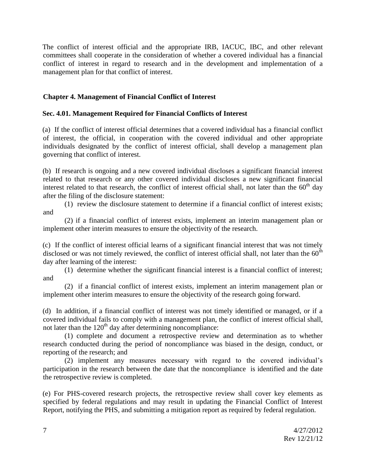The conflict of interest official and the appropriate IRB, IACUC, IBC, and other relevant committees shall cooperate in the consideration of whether a covered individual has a financial conflict of interest in regard to research and in the development and implementation of a management plan for that conflict of interest.

## **Chapter 4. Management of Financial Conflict of Interest**

## **Sec. 4.01. Management Required for Financial Conflicts of Interest**

(a) If the conflict of interest official determines that a covered individual has a financial conflict of interest, the official, in cooperation with the covered individual and other appropriate individuals designated by the conflict of interest official, shall develop a management plan governing that conflict of interest.

(b) If research is ongoing and a new covered individual discloses a significant financial interest related to that research or any other covered individual discloses a new significant financial interest related to that research, the conflict of interest official shall, not later than the 60<sup>th</sup> day after the filing of the disclosure statement:

(1) review the disclosure statement to determine if a financial conflict of interest exists; and

(2) if a financial conflict of interest exists, implement an interim management plan or implement other interim measures to ensure the objectivity of the research.

(c) If the conflict of interest official learns of a significant financial interest that was not timely disclosed or was not timely reviewed, the conflict of interest official shall, not later than the  $60<sup>th</sup>$ day after learning of the interest:

(1) determine whether the significant financial interest is a financial conflict of interest; and

(2) if a financial conflict of interest exists, implement an interim management plan or implement other interim measures to ensure the objectivity of the research going forward.

(d) In addition, if a financial conflict of interest was not timely identified or managed, or if a covered individual fails to comply with a management plan, the conflict of interest official shall, not later than the  $120<sup>th</sup>$  day after determining noncompliance:

(1) complete and document a retrospective review and determination as to whether research conducted during the period of noncompliance was biased in the design, conduct, or reporting of the research; and

(2) implement any measures necessary with regard to the covered individual's participation in the research between the date that the noncompliance is identified and the date the retrospective review is completed.

(e) For PHS-covered research projects, the retrospective review shall cover key elements as specified by federal regulations and may result in updating the Financial Conflict of Interest Report, notifying the PHS, and submitting a mitigation report as required by federal regulation.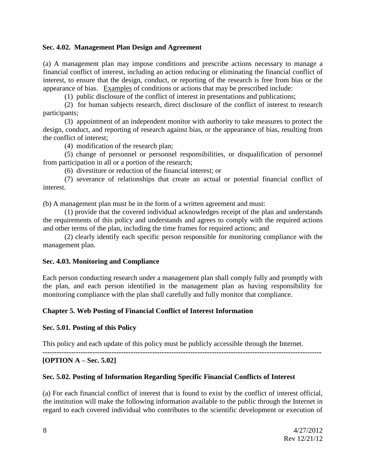#### **Sec. 4.02. Management Plan Design and Agreement**

(a) A management plan may impose conditions and prescribe actions necessary to manage a financial conflict of interest, including an action reducing or eliminating the financial conflict of interest, to ensure that the design, conduct, or reporting of the research is free from bias or the appearance of bias. Examples of conditions or actions that may be prescribed include:

(1) public disclosure of the conflict of interest in presentations and publications;

(2) for human subjects research, direct disclosure of the conflict of interest to research participants;

(3) appointment of an independent monitor with authority to take measures to protect the design, conduct, and reporting of research against bias, or the appearance of bias, resulting from the conflict of interest;

(4) modification of the research plan;

(5) change of personnel or personnel responsibilities, or disqualification of personnel from participation in all or a portion of the research;

(6) divestiture or reduction of the financial interest; or

(7) severance of relationships that create an actual or potential financial conflict of interest.

(b) A management plan must be in the form of a written agreement and must:

(1) provide that the covered individual acknowledges receipt of the plan and understands the requirements of this policy and understands and agrees to comply with the required actions and other terms of the plan, including the time frames for required actions; and

(2) clearly identify each specific person responsible for monitoring compliance with the management plan.

#### **Sec. 4.03. Monitoring and Compliance**

Each person conducting research under a management plan shall comply fully and promptly with the plan, and each person identified in the management plan as having responsibility for monitoring compliance with the plan shall carefully and fully monitor that compliance.

#### **Chapter 5. Web Posting of Financial Conflict of Interest Information**

#### **Sec. 5.01. Posting of this Policy**

This policy and each update of this policy must be publicly accessible through the Internet.

**---------------------------------------------------------------------------------------------------------------------**

## **[OPTION A – Sec. 5.02]**

#### **Sec. 5.02. Posting of Information Regarding Specific Financial Conflicts of Interest**

(a) For each financial conflict of interest that is found to exist by the conflict of interest official, the institution will make the following information available to the public through the Internet in regard to each covered individual who contributes to the scientific development or execution of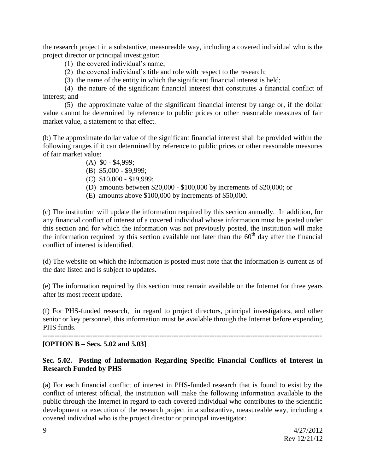the research project in a substantive, measureable way, including a covered individual who is the project director or principal investigator:

- (1) the covered individual's name;
- (2) the covered individual's title and role with respect to the research;
- (3) the name of the entity in which the significant financial interest is held;

(4) the nature of the significant financial interest that constitutes a financial conflict of interest; and

(5) the approximate value of the significant financial interest by range or, if the dollar value cannot be determined by reference to public prices or other reasonable measures of fair market value, a statement to that effect.

(b) The approximate dollar value of the significant financial interest shall be provided within the following ranges if it can determined by reference to public prices or other reasonable measures of fair market value:

- (A) \$0 \$4,999;
- (B) \$5,000 \$9,999;
- (C) \$10,000 \$19,999;
- (D) amounts between \$20,000 \$100,000 by increments of \$20,000; or
- (E) amounts above \$100,000 by increments of \$50,000.

(c) The institution will update the information required by this section annually. In addition, for any financial conflict of interest of a covered individual whose information must be posted under this section and for which the information was not previously posted, the institution will make the information required by this section available not later than the  $60<sup>th</sup>$  day after the financial conflict of interest is identified.

(d) The website on which the information is posted must note that the information is current as of the date listed and is subject to updates.

(e) The information required by this section must remain available on the Internet for three years after its most recent update.

(f) For PHS-funded research, in regard to project directors, principal investigators, and other senior or key personnel, this information must be available through the Internet before expending PHS funds.

---------------------------------------------------------------------------------------------------------------------

#### **[OPTION B – Secs. 5.02 and 5.03]**

## **Sec. 5.02. Posting of Information Regarding Specific Financial Conflicts of Interest in Research Funded by PHS**

(a) For each financial conflict of interest in PHS-funded research that is found to exist by the conflict of interest official, the institution will make the following information available to the public through the Internet in regard to each covered individual who contributes to the scientific development or execution of the research project in a substantive, measureable way, including a covered individual who is the project director or principal investigator: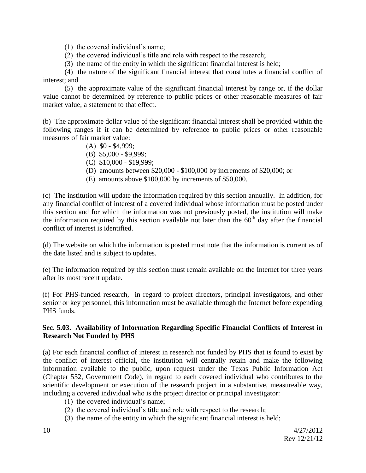(1) the covered individual's name;

- (2) the covered individual's title and role with respect to the research;
- (3) the name of the entity in which the significant financial interest is held;

(4) the nature of the significant financial interest that constitutes a financial conflict of interest; and

(5) the approximate value of the significant financial interest by range or, if the dollar value cannot be determined by reference to public prices or other reasonable measures of fair market value, a statement to that effect.

(b) The approximate dollar value of the significant financial interest shall be provided within the following ranges if it can be determined by reference to public prices or other reasonable measures of fair market value:

- $(A)$  \$0 \$4,999:
- (B) \$5,000 \$9,999;
- (C) \$10,000 \$19,999;
- (D) amounts between \$20,000 \$100,000 by increments of \$20,000; or
- (E) amounts above \$100,000 by increments of \$50,000.

(c) The institution will update the information required by this section annually. In addition, for any financial conflict of interest of a covered individual whose information must be posted under this section and for which the information was not previously posted, the institution will make the information required by this section available not later than the  $60<sup>th</sup>$  day after the financial conflict of interest is identified.

(d) The website on which the information is posted must note that the information is current as of the date listed and is subject to updates.

(e) The information required by this section must remain available on the Internet for three years after its most recent update.

(f) For PHS-funded research, in regard to project directors, principal investigators, and other senior or key personnel, this information must be available through the Internet before expending PHS funds.

## **Sec. 5.03. Availability of Information Regarding Specific Financial Conflicts of Interest in Research Not Funded by PHS**

(a) For each financial conflict of interest in research not funded by PHS that is found to exist by the conflict of interest official, the institution will centrally retain and make the following information available to the public, upon request under the Texas Public Information Act (Chapter 552, Government Code), in regard to each covered individual who contributes to the scientific development or execution of the research project in a substantive, measureable way, including a covered individual who is the project director or principal investigator:

- (1) the covered individual's name;
- (2) the covered individual's title and role with respect to the research;
- (3) the name of the entity in which the significant financial interest is held;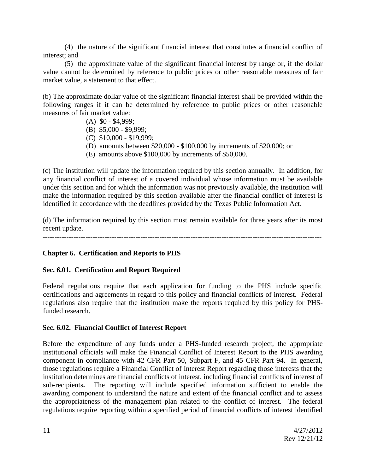(4) the nature of the significant financial interest that constitutes a financial conflict of interest; and

(5) the approximate value of the significant financial interest by range or, if the dollar value cannot be determined by reference to public prices or other reasonable measures of fair market value, a statement to that effect.

(b) The approximate dollar value of the significant financial interest shall be provided within the following ranges if it can be determined by reference to public prices or other reasonable measures of fair market value:

- (A) \$0 \$4,999;
- (B) \$5,000 \$9,999;
- (C) \$10,000 \$19,999;
- (D) amounts between \$20,000 \$100,000 by increments of \$20,000; or
- (E) amounts above \$100,000 by increments of \$50,000.

(c) The institution will update the information required by this section annually. In addition, for any financial conflict of interest of a covered individual whose information must be available under this section and for which the information was not previously available, the institution will make the information required by this section available after the financial conflict of interest is identified in accordance with the deadlines provided by the Texas Public Information Act.

(d) The information required by this section must remain available for three years after its most recent update.

---------------------------------------------------------------------------------------------------------------------

## **Chapter 6. Certification and Reports to PHS**

#### **Sec. 6.01. Certification and Report Required**

Federal regulations require that each application for funding to the PHS include specific certifications and agreements in regard to this policy and financial conflicts of interest. Federal regulations also require that the institution make the reports required by this policy for PHSfunded research.

#### **Sec. 6.02. Financial Conflict of Interest Report**

Before the expenditure of any funds under a PHS-funded research project, the appropriate institutional officials will make the Financial Conflict of Interest Report to the PHS awarding component in compliance with 42 CFR Part 50, Subpart F, and 45 CFR Part 94. In general, those regulations require a Financial Conflict of Interest Report regarding those interests that the institution determines are financial conflicts of interest, including financial conflicts of interest of sub-recipients**.** The reporting will include specified information sufficient to enable the awarding component to understand the nature and extent of the financial conflict and to assess the appropriateness of the management plan related to the conflict of interest. The federal regulations require reporting within a specified period of financial conflicts of interest identified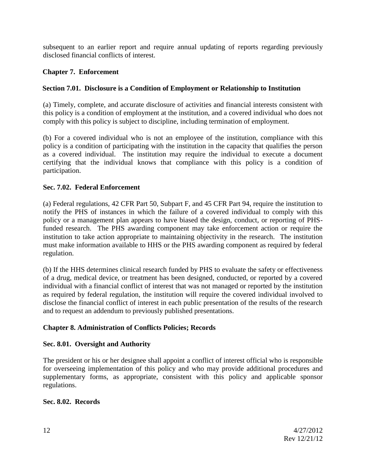subsequent to an earlier report and require annual updating of reports regarding previously disclosed financial conflicts of interest.

# **Chapter 7. Enforcement**

# **Section 7.01. Disclosure is a Condition of Employment or Relationship to Institution**

(a) Timely, complete, and accurate disclosure of activities and financial interests consistent with this policy is a condition of employment at the institution, and a covered individual who does not comply with this policy is subject to discipline, including termination of employment.

(b) For a covered individual who is not an employee of the institution, compliance with this policy is a condition of participating with the institution in the capacity that qualifies the person as a covered individual. The institution may require the individual to execute a document certifying that the individual knows that compliance with this policy is a condition of participation.

# **Sec. 7.02. Federal Enforcement**

(a) Federal regulations, 42 CFR Part 50, Subpart F, and 45 CFR Part 94, require the institution to notify the PHS of instances in which the failure of a covered individual to comply with this policy or a management plan appears to have biased the design, conduct, or reporting of PHSfunded research. The PHS awarding component may take enforcement action or require the institution to take action appropriate to maintaining objectivity in the research. The institution must make information available to HHS or the PHS awarding component as required by federal regulation.

(b) If the HHS determines clinical research funded by PHS to evaluate the safety or effectiveness of a drug, medical device, or treatment has been designed, conducted, or reported by a covered individual with a financial conflict of interest that was not managed or reported by the institution as required by federal regulation, the institution will require the covered individual involved to disclose the financial conflict of interest in each public presentation of the results of the research and to request an addendum to previously published presentations.

# **Chapter 8. Administration of Conflicts Policies; Records**

## **Sec. 8.01. Oversight and Authority**

The president or his or her designee shall appoint a conflict of interest official who is responsible for overseeing implementation of this policy and who may provide additional procedures and supplementary forms, as appropriate, consistent with this policy and applicable sponsor regulations.

# **Sec. 8.02. Records**